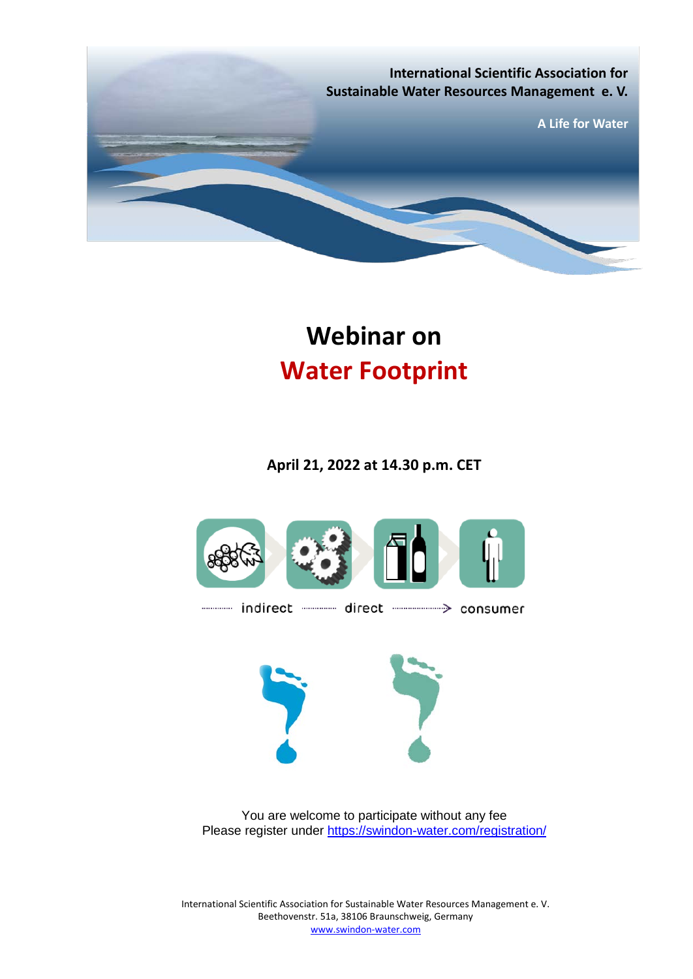

# **Webinar on Water Footprint**

**April 21, 2022 at 14.30 p.m. CET**



You are welcome to participate without any fee Please register under<https://swindon-water.com/registration/>

International Scientific Association for Sustainable Water Resources Management e. V. Beethovenstr. 51a, 38106 Braunschweig, Germany [www.swindon-water.com](http://www.swindon-water.com/)